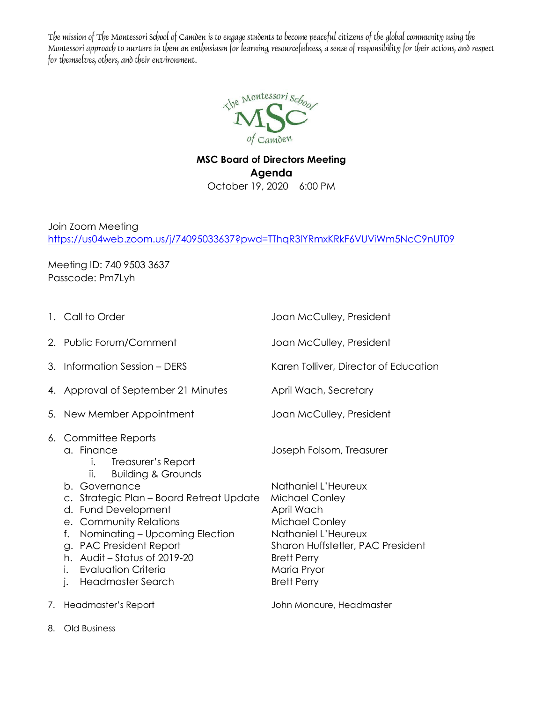The mission of The Montessori School of Camden is to engage students to become peaceful citizens of the global community using the Montessori approach to nurture in them an enthusiasm for learning, resourcefulness, a sense of responsibility for their actions, and respect for themselves, others, and their environment.



## **MSC Board of Directors Meeting Agenda** October 19, 2020 6:00 PM

Join Zoom Meeting <https://us04web.zoom.us/j/74095033637?pwd=TThqR3lYRmxKRkF6VUViWm5NcC9nUT09>

Meeting ID: 740 9503 3637 Passcode: Pm7Lyh

| 1. Call to Order                                                                                                                                                                                                                                                | Joan McCulley, President                                                                                                                                                                     |
|-----------------------------------------------------------------------------------------------------------------------------------------------------------------------------------------------------------------------------------------------------------------|----------------------------------------------------------------------------------------------------------------------------------------------------------------------------------------------|
| 2. Public Forum/Comment                                                                                                                                                                                                                                         | Joan McCulley, President                                                                                                                                                                     |
| 3. Information Session - DERS                                                                                                                                                                                                                                   | Karen Tolliver, Director of Education                                                                                                                                                        |
| 4. Approval of September 21 Minutes                                                                                                                                                                                                                             | April Wach, Secretary                                                                                                                                                                        |
| 5. New Member Appointment                                                                                                                                                                                                                                       | Joan McCulley, President                                                                                                                                                                     |
| 6. Committee Reports<br>a. Finance<br>Treasurer's Report<br>İ.<br><b>Building &amp; Grounds</b><br>ii.                                                                                                                                                          | Joseph Folsom, Treasurer                                                                                                                                                                     |
| b. Governance<br>c. Strategic Plan - Board Retreat Update<br>d. Fund Development<br>e. Community Relations<br>Nominating - Upcoming Election<br>f.<br>g. PAC President Report<br>h. Audit - Status of 2019-20<br>i. Evaluation Criteria<br>j. Headmaster Search | Nathaniel L'Heureux<br>Michael Conley<br>April Wach<br>Michael Conley<br>Nathaniel L'Heureux<br>Sharon Huffstetler, PAC President<br><b>Brett Perry</b><br>Maria Pryor<br><b>Brett Perry</b> |
| 7. Headmaster's Report                                                                                                                                                                                                                                          | John Moncure, Headmaster                                                                                                                                                                     |

8. Old Business